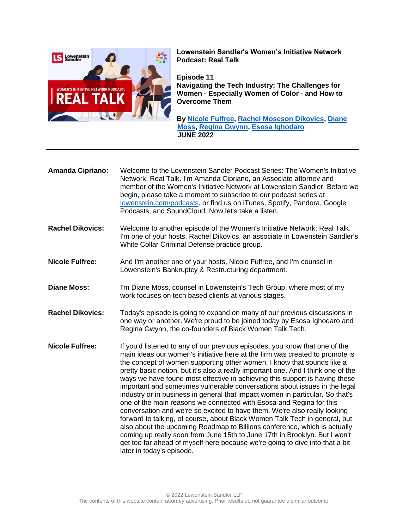

**Lowenstein Sandler's Women's Initiative Network Podcast: Real Talk**

**Episode 11 Navigating the Tech Industry: The Challenges for Women - Especially Women of Color - and How to Overcome Them**

**By [Nicole Fulfree,](https://www.lowenstein.com/people/attorneys/nicole-fulfree) [Rachel Moseson Dikovics,](https://www.lowenstein.com/people/attorneys/rachel-moseson-dikovics) [Diane](https://www.lowenstein.com/people/attorneys/diane-moss)  [Moss,](https://www.lowenstein.com/people/attorneys/diane-moss) [Regina Gwynn, Esosa Ighodaro](https://www.blackwomentalktech.com/our-story) JUNE 2022**

- **Amanda Cipriano:** Welcome to the Lowenstein Sandler Podcast Series: The Women's Initiative Network, Real Talk. I'm Amanda Cipriano, an Associate attorney and member of the Women's Initiative Network at Lowenstein Sandler. Before we begin, please take a moment to subscribe to our podcast series at [lowenstein.com/podcasts,](https://www.lowenstein.com/podcasts) or find us on iTunes, Spotify, Pandora, Google Podcasts, and SoundCloud. Now let's take a listen.
- **Rachel Dikovics:** Welcome to another episode of the Women's Initiative Network: Real Talk. I'm one of your hosts, Rachel Dikovics, an associate in Lowenstein Sandler's White Collar Criminal Defense practice group.
- **Nicole Fulfree:** And I'm another one of your hosts, Nicole Fulfree, and I'm counsel in Lowenstein's Bankruptcy & Restructuring department.
- **Diane Moss:** I'm Diane Moss, counsel in Lowenstein's Tech Group, where most of my work focuses on tech based clients at various stages.
- **Rachel Dikovics:** Today's episode is going to expand on many of our previous discussions in one way or another. We're proud to be joined today by Esosa Ighodaro and Regina Gwynn, the co-founders of Black Women Talk Tech.
- **Nicole Fulfree:** If you'd listened to any of our previous episodes, you know that one of the main ideas our women's initiative here at the firm was created to promote is the concept of women supporting other women. I know that sounds like a pretty basic notion, but it's also a really important one. And I think one of the ways we have found most effective in achieving this support is having these important and sometimes vulnerable conversations about issues in the legal industry or in business in general that impact women in particular. So that's one of the main reasons we connected with Esosa and Regina for this conversation and we're so excited to have them. We're also really looking forward to talking, of course, about Black Women Talk Tech in general, but also about the upcoming Roadmap to Billions conference, which is actually coming up really soon from June 15th to June 17th in Brooklyn. But I won't get too far ahead of myself here because we're going to dive into that a bit later in today's episode.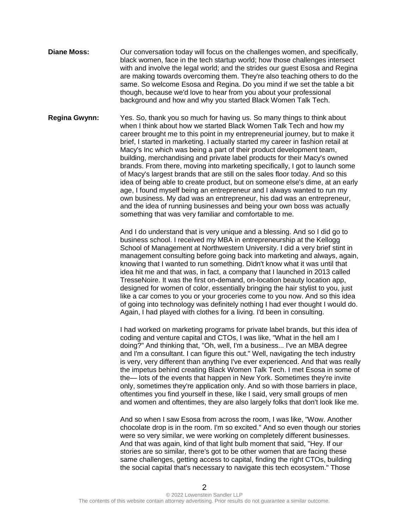- **Diane Moss:** Our conversation today will focus on the challenges women, and specifically, black women, face in the tech startup world; how those challenges intersect with and involve the legal world; and the strides our guest Esosa and Regina are making towards overcoming them. They're also teaching others to do the same. So welcome Esosa and Regina. Do you mind if we set the table a bit though, because we'd love to hear from you about your professional background and how and why you started Black Women Talk Tech.
- **Regina Gwynn:** Yes. So, thank you so much for having us. So many things to think about when I think about how we started Black Women Talk Tech and how my career brought me to this point in my entrepreneurial journey, but to make it brief, I started in marketing. I actually started my career in fashion retail at Macy's Inc which was being a part of their product development team, building, merchandising and private label products for their Macy's owned brands. From there, moving into marketing specifically, I got to launch some of Macy's largest brands that are still on the sales floor today. And so this idea of being able to create product, but on someone else's dime, at an early age, I found myself being an entrepreneur and I always wanted to run my own business. My dad was an entrepreneur, his dad was an entrepreneur, and the idea of running businesses and being your own boss was actually something that was very familiar and comfortable to me.

And I do understand that is very unique and a blessing. And so I did go to business school. I received my MBA in entrepreneurship at the Kellogg School of Management at Northwestern University. I did a very brief stint in management consulting before going back into marketing and always, again, knowing that I wanted to run something. Didn't know what it was until that idea hit me and that was, in fact, a company that I launched in 2013 called TresseNoire. It was the first on-demand, on-location beauty location app, designed for women of color, essentially bringing the hair stylist to you, just like a car comes to you or your groceries come to you now. And so this idea of going into technology was definitely nothing I had ever thought I would do. Again, I had played with clothes for a living. I'd been in consulting.

I had worked on marketing programs for private label brands, but this idea of coding and venture capital and CTOs, I was like, "What in the hell am I doing?" And thinking that, "Oh, well, I'm a business... I've an MBA degree and I'm a consultant. I can figure this out." Well, navigating the tech industry is very, very different than anything I've ever experienced. And that was really the impetus behind creating Black Women Talk Tech. I met Esosa in some of the— lots of the events that happen in New York. Sometimes they're invite only, sometimes they're application only. And so with those barriers in place, oftentimes you find yourself in these, like I said, very small groups of men and women and oftentimes, they are also largely folks that don't look like me.

And so when I saw Esosa from across the room, I was like, "Wow. Another chocolate drop is in the room. I'm so excited." And so even though our stories were so very similar, we were working on completely different businesses. And that was again, kind of that light bulb moment that said, "Hey. If our stories are so similar, there's got to be other women that are facing these same challenges, getting access to capital, finding the right CTOs, building the social capital that's necessary to navigate this tech ecosystem." Those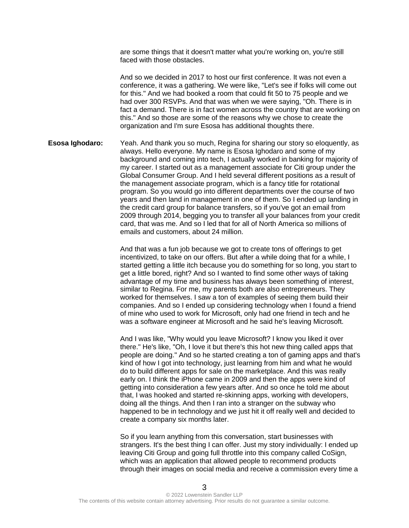are some things that it doesn't matter what you're working on, you're still faced with those obstacles.

And so we decided in 2017 to host our first conference. It was not even a conference, it was a gathering. We were like, "Let's see if folks will come out for this." And we had booked a room that could fit 50 to 75 people and we had over 300 RSVPs. And that was when we were saying, "Oh. There is in fact a demand. There is in fact women across the country that are working on this." And so those are some of the reasons why we chose to create the organization and I'm sure Esosa has additional thoughts there.

**Esosa Ighodaro:** Yeah. And thank you so much, Regina for sharing our story so eloquently, as always. Hello everyone. My name is Esosa Ighodaro and some of my background and coming into tech, I actually worked in banking for majority of my career. I started out as a management associate for Citi group under the Global Consumer Group. And I held several different positions as a result of the management associate program, which is a fancy title for rotational program. So you would go into different departments over the course of two years and then land in management in one of them. So I ended up landing in the credit card group for balance transfers, so if you've got an email from 2009 through 2014, begging you to transfer all your balances from your credit card, that was me. And so I led that for all of North America so millions of emails and customers, about 24 million.

> And that was a fun job because we got to create tons of offerings to get incentivized, to take on our offers. But after a while doing that for a while, I started getting a little itch because you do something for so long, you start to get a little bored, right? And so I wanted to find some other ways of taking advantage of my time and business has always been something of interest, similar to Regina. For me, my parents both are also entrepreneurs. They worked for themselves. I saw a ton of examples of seeing them build their companies. And so I ended up considering technology when I found a friend of mine who used to work for Microsoft, only had one friend in tech and he was a software engineer at Microsoft and he said he's leaving Microsoft.

And I was like, "Why would you leave Microsoft? I know you liked it over there." He's like, "Oh, I love it but there's this hot new thing called apps that people are doing." And so he started creating a ton of gaming apps and that's kind of how I got into technology, just learning from him and what he would do to build different apps for sale on the marketplace. And this was really early on. I think the iPhone came in 2009 and then the apps were kind of getting into consideration a few years after. And so once he told me about that, I was hooked and started re-skinning apps, working with developers, doing all the things. And then I ran into a stranger on the subway who happened to be in technology and we just hit it off really well and decided to create a company six months later.

So if you learn anything from this conversation, start businesses with strangers. It's the best thing I can offer. Just my story individually: I ended up leaving Citi Group and going full throttle into this company called CoSign, which was an application that allowed people to recommend products through their images on social media and receive a commission every time a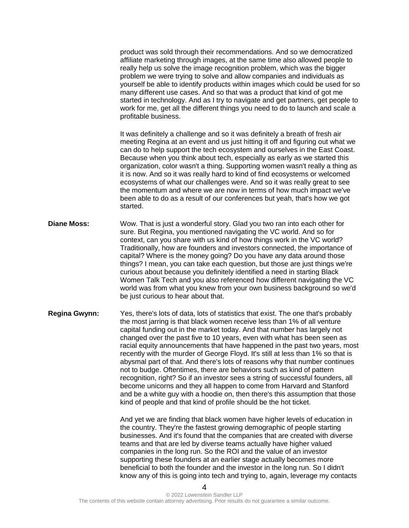product was sold through their recommendations. And so we democratized affiliate marketing through images, at the same time also allowed people to really help us solve the image recognition problem, which was the bigger problem we were trying to solve and allow companies and individuals as yourself be able to identify products within images which could be used for so many different use cases. And so that was a product that kind of got me started in technology. And as I try to navigate and get partners, get people to work for me, get all the different things you need to do to launch and scale a profitable business.

It was definitely a challenge and so it was definitely a breath of fresh air meeting Regina at an event and us just hitting it off and figuring out what we can do to help support the tech ecosystem and ourselves in the East Coast. Because when you think about tech, especially as early as we started this organization, color wasn't a thing. Supporting women wasn't really a thing as it is now. And so it was really hard to kind of find ecosystems or welcomed ecosystems of what our challenges were. And so it was really great to see the momentum and where we are now in terms of how much impact we've been able to do as a result of our conferences but yeah, that's how we got started.

- **Diane Moss:** Wow. That is just a wonderful story. Glad you two ran into each other for sure. But Regina, you mentioned navigating the VC world. And so for context, can you share with us kind of how things work in the VC world? Traditionally, how are founders and investors connected, the importance of capital? Where is the money going? Do you have any data around those things? I mean, you can take each question, but those are just things we're curious about because you definitely identified a need in starting Black Women Talk Tech and you also referenced how different navigating the VC world was from what you knew from your own business background so we'd be just curious to hear about that.
- **Regina Gwynn:** Yes, there's lots of data, lots of statistics that exist. The one that's probably the most jarring is that black women receive less than 1% of all venture capital funding out in the market today. And that number has largely not changed over the past five to 10 years, even with what has been seen as racial equity announcements that have happened in the past two years, most recently with the murder of George Floyd. It's still at less than 1% so that is abysmal part of that. And there's lots of reasons why that number continues not to budge. Oftentimes, there are behaviors such as kind of pattern recognition, right? So if an investor sees a string of successful founders, all become unicorns and they all happen to come from Harvard and Stanford and be a white guy with a hoodie on, then there's this assumption that those kind of people and that kind of profile should be the hot ticket.

And yet we are finding that black women have higher levels of education in the country. They're the fastest growing demographic of people starting businesses. And it's found that the companies that are created with diverse teams and that are led by diverse teams actually have higher valued companies in the long run. So the ROI and the value of an investor supporting these founders at an earlier stage actually becomes more beneficial to both the founder and the investor in the long run. So I didn't know any of this is going into tech and trying to, again, leverage my contacts

<sup>4</sup>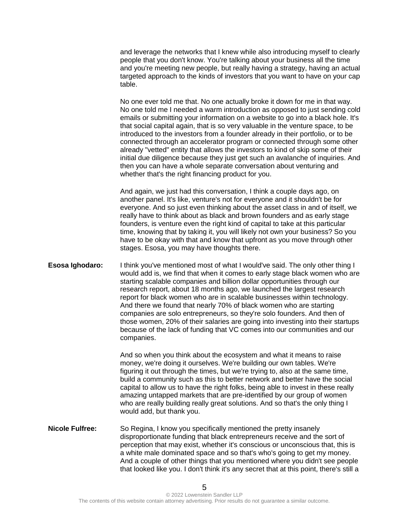and leverage the networks that I knew while also introducing myself to clearly people that you don't know. You're talking about your business all the time and you're meeting new people, but really having a strategy, having an actual targeted approach to the kinds of investors that you want to have on your cap table.

No one ever told me that. No one actually broke it down for me in that way. No one told me I needed a warm introduction as opposed to just sending cold emails or submitting your information on a website to go into a black hole. It's that social capital again, that is so very valuable in the venture space, to be introduced to the investors from a founder already in their portfolio, or to be connected through an accelerator program or connected through some other already "vetted" entity that allows the investors to kind of skip some of their initial due diligence because they just get such an avalanche of inquiries. And then you can have a whole separate conversation about venturing and whether that's the right financing product for you.

And again, we just had this conversation, I think a couple days ago, on another panel. It's like, venture's not for everyone and it shouldn't be for everyone. And so just even thinking about the asset class in and of itself, we really have to think about as black and brown founders and as early stage founders, is venture even the right kind of capital to take at this particular time, knowing that by taking it, you will likely not own your business? So you have to be okay with that and know that upfront as you move through other stages. Esosa, you may have thoughts there.

**Esosa Ighodaro:** I think you've mentioned most of what I would've said. The only other thing I would add is, we find that when it comes to early stage black women who are starting scalable companies and billion dollar opportunities through our research report, about 18 months ago, we launched the largest research report for black women who are in scalable businesses within technology. And there we found that nearly 70% of black women who are starting companies are solo entrepreneurs, so they're solo founders. And then of those women, 20% of their salaries are going into investing into their startups because of the lack of funding that VC comes into our communities and our companies.

> And so when you think about the ecosystem and what it means to raise money, we're doing it ourselves. We're building our own tables. We're figuring it out through the times, but we're trying to, also at the same time, build a community such as this to better network and better have the social capital to allow us to have the right folks, being able to invest in these really amazing untapped markets that are pre-identified by our group of women who are really building really great solutions. And so that's the only thing I would add, but thank you.

**Nicole Fulfree:** So Regina, I know you specifically mentioned the pretty insanely disproportionate funding that black entrepreneurs receive and the sort of perception that may exist, whether it's conscious or unconscious that, this is a white male dominated space and so that's who's going to get my money. And a couple of other things that you mentioned where you didn't see people that looked like you. I don't think it's any secret that at this point, there's still a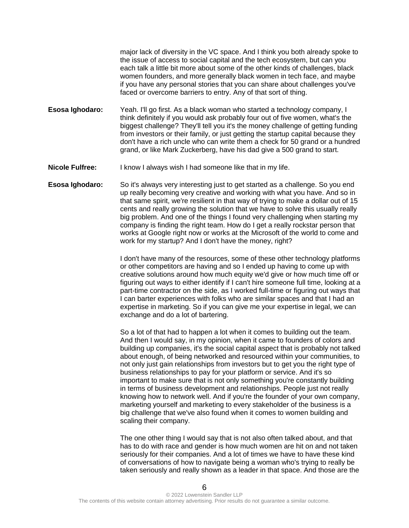major lack of diversity in the VC space. And I think you both already spoke to the issue of access to social capital and the tech ecosystem, but can you each talk a little bit more about some of the other kinds of challenges, black women founders, and more generally black women in tech face, and maybe if you have any personal stories that you can share about challenges you've faced or overcome barriers to entry. Any of that sort of thing.

**Esosa Ighodaro:** Yeah. I'll go first. As a black woman who started a technology company, I think definitely if you would ask probably four out of five women, what's the biggest challenge? They'll tell you it's the money challenge of getting funding from investors or their family, or just getting the startup capital because they don't have a rich uncle who can write them a check for 50 grand or a hundred grand, or like Mark Zuckerberg, have his dad give a 500 grand to start.

**Nicole Fulfree:** I know I always wish I had someone like that in my life.

**Esosa Ighodaro:** So it's always very interesting just to get started as a challenge. So you end up really becoming very creative and working with what you have. And so in that same spirit, we're resilient in that way of trying to make a dollar out of 15 cents and really growing the solution that we have to solve this usually really big problem. And one of the things I found very challenging when starting my company is finding the right team. How do I get a really rockstar person that works at Google right now or works at the Microsoft of the world to come and work for my startup? And I don't have the money, right?

> I don't have many of the resources, some of these other technology platforms or other competitors are having and so I ended up having to come up with creative solutions around how much equity we'd give or how much time off or figuring out ways to either identify if I can't hire someone full time, looking at a part-time contractor on the side, as I worked full-time or figuring out ways that I can barter experiences with folks who are similar spaces and that I had an expertise in marketing. So if you can give me your expertise in legal, we can exchange and do a lot of bartering.

> So a lot of that had to happen a lot when it comes to building out the team. And then I would say, in my opinion, when it came to founders of colors and building up companies, it's the social capital aspect that is probably not talked about enough, of being networked and resourced within your communities, to not only just gain relationships from investors but to get you the right type of business relationships to pay for your platform or service. And it's so important to make sure that is not only something you're constantly building in terms of business development and relationships. People just not really knowing how to network well. And if you're the founder of your own company, marketing yourself and marketing to every stakeholder of the business is a big challenge that we've also found when it comes to women building and scaling their company.

> The one other thing I would say that is not also often talked about, and that has to do with race and gender is how much women are hit on and not taken seriously for their companies. And a lot of times we have to have these kind of conversations of how to navigate being a woman who's trying to really be taken seriously and really shown as a leader in that space. And those are the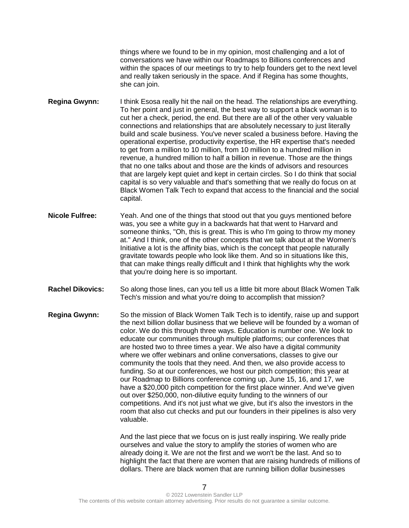things where we found to be in my opinion, most challenging and a lot of conversations we have within our Roadmaps to Billions conferences and within the spaces of our meetings to try to help founders get to the next level and really taken seriously in the space. And if Regina has some thoughts, she can join.

**Regina Gwynn:** I think Esosa really hit the nail on the head. The relationships are everything. To her point and just in general, the best way to support a black woman is to cut her a check, period, the end. But there are all of the other very valuable connections and relationships that are absolutely necessary to just literally build and scale business. You've never scaled a business before. Having the operational expertise, productivity expertise, the HR expertise that's needed to get from a million to 10 million, from 10 million to a hundred million in revenue, a hundred million to half a billion in revenue. Those are the things that no one talks about and those are the kinds of advisors and resources that are largely kept quiet and kept in certain circles. So I do think that social capital is so very valuable and that's something that we really do focus on at Black Women Talk Tech to expand that access to the financial and the social capital.

- **Nicole Fulfree:** Yeah. And one of the things that stood out that you guys mentioned before was, you see a white guy in a backwards hat that went to Harvard and someone thinks, "Oh, this is great. This is who I'm going to throw my money at." And I think, one of the other concepts that we talk about at the Women's Initiative a lot is the affinity bias, which is the concept that people naturally gravitate towards people who look like them. And so in situations like this, that can make things really difficult and I think that highlights why the work that you're doing here is so important.
- **Rachel Dikovics:** So along those lines, can you tell us a little bit more about Black Women Talk Tech's mission and what you're doing to accomplish that mission?

**Regina Gwynn:** So the mission of Black Women Talk Tech is to identify, raise up and support the next billion dollar business that we believe will be founded by a woman of color. We do this through three ways. Education is number one. We look to educate our communities through multiple platforms; our conferences that are hosted two to three times a year. We also have a digital community where we offer webinars and online conversations, classes to give our community the tools that they need. And then, we also provide access to funding. So at our conferences, we host our pitch competition; this year at our Roadmap to Billions conference coming up, June 15, 16, and 17, we have a \$20,000 pitch competition for the first place winner. And we've given out over \$250,000, non-dilutive equity funding to the winners of our competitions. And it's not just what we give, but it's also the investors in the room that also cut checks and put our founders in their pipelines is also very valuable.

> And the last piece that we focus on is just really inspiring. We really pride ourselves and value the story to amplify the stories of women who are already doing it. We are not the first and we won't be the last. And so to highlight the fact that there are women that are raising hundreds of millions of dollars. There are black women that are running billion dollar businesses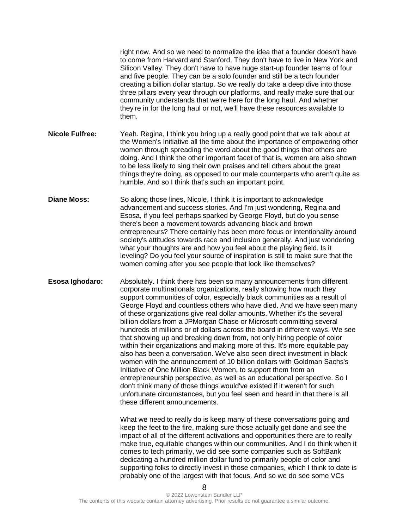|                        | right now. And so we need to normalize the idea that a founder doesn't have<br>to come from Harvard and Stanford. They don't have to live in New York and<br>Silicon Valley. They don't have to have huge start-up founder teams of four<br>and five people. They can be a solo founder and still be a tech founder<br>creating a billion dollar startup. So we really do take a deep dive into those<br>three pillars every year through our platforms, and really make sure that our<br>community understands that we're here for the long haul. And whether<br>they're in for the long haul or not, we'll have these resources available to<br>them.                                                                                                                                                                                                                                                                                                                                                                                                                                                                                                                                                   |
|------------------------|-----------------------------------------------------------------------------------------------------------------------------------------------------------------------------------------------------------------------------------------------------------------------------------------------------------------------------------------------------------------------------------------------------------------------------------------------------------------------------------------------------------------------------------------------------------------------------------------------------------------------------------------------------------------------------------------------------------------------------------------------------------------------------------------------------------------------------------------------------------------------------------------------------------------------------------------------------------------------------------------------------------------------------------------------------------------------------------------------------------------------------------------------------------------------------------------------------------|
| <b>Nicole Fulfree:</b> | Yeah. Regina, I think you bring up a really good point that we talk about at<br>the Women's Initiative all the time about the importance of empowering other<br>women through spreading the word about the good things that others are<br>doing. And I think the other important facet of that is, women are also shown<br>to be less likely to sing their own praises and tell others about the great<br>things they're doing, as opposed to our male counterparts who aren't quite as<br>humble. And so I think that's such an important point.                                                                                                                                                                                                                                                                                                                                                                                                                                                                                                                                                                                                                                                         |
| <b>Diane Moss:</b>     | So along those lines, Nicole, I think it is important to acknowledge<br>advancement and success stories. And I'm just wondering, Regina and<br>Esosa, if you feel perhaps sparked by George Floyd, but do you sense<br>there's been a movement towards advancing black and brown<br>entrepreneurs? There certainly has been more focus or intentionality around<br>society's attitudes towards race and inclusion generally. And just wondering<br>what your thoughts are and how you feel about the playing field. Is it<br>leveling? Do you feel your source of inspiration is still to make sure that the<br>women coming after you see people that look like themselves?                                                                                                                                                                                                                                                                                                                                                                                                                                                                                                                              |
| Esosa Ighodaro:        | Absolutely. I think there has been so many announcements from different<br>corporate multinationals organizations, really showing how much they<br>support communities of color, especially black communities as a result of<br>George Floyd and countless others who have died. And we have seen many<br>of these organizations give real dollar amounts. Whether it's the several<br>billion dollars from a JPMorgan Chase or Microsoft committing several<br>hundreds of millions or of dollars across the board in different ways. We see<br>that showing up and breaking down from, not only hiring people of color<br>within their organizations and making more of this. It's more equitable pay<br>also has been a conversation. We've also seen direct investment in black<br>women with the announcement of 10 billion dollars with Goldman Sachs's<br>Initiative of One Million Black Women, to support them from an<br>entrepreneurship perspective, as well as an educational perspective. So I<br>don't think many of those things would've existed if it weren't for such<br>unfortunate circumstances, but you feel seen and heard in that there is all<br>these different announcements. |
|                        | What we need to really do is keep many of these conversations going and<br>keep the feet to the fire, making sure those actually get done and see the<br>impact of all of the different activations and opportunities there are to really<br>and the black of the second cultivity of the consequent of the Angle Lots the black of the second second the s                                                                                                                                                                                                                                                                                                                                                                                                                                                                                                                                                                                                                                                                                                                                                                                                                                               |

make true, equitable changes within our communities. And I do think when it comes to tech primarily, we did see some companies such as SoftBank dedicating a hundred million dollar fund to primarily people of color and supporting folks to directly invest in those companies, which I think to date is probably one of the largest with that focus. And so we do see some VCs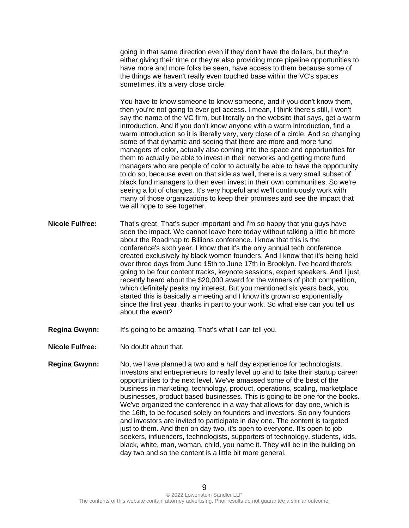going in that same direction even if they don't have the dollars, but they're either giving their time or they're also providing more pipeline opportunities to have more and more folks be seen, have access to them because some of the things we haven't really even touched base within the VC's spaces sometimes, it's a very close circle.

You have to know someone to know someone, and if you don't know them, then you're not going to ever get access. I mean, I think there's still, I won't say the name of the VC firm, but literally on the website that says, get a warm introduction. And if you don't know anyone with a warm introduction, find a warm introduction so it is literally very, very close of a circle. And so changing some of that dynamic and seeing that there are more and more fund managers of color, actually also coming into the space and opportunities for them to actually be able to invest in their networks and getting more fund managers who are people of color to actually be able to have the opportunity to do so, because even on that side as well, there is a very small subset of black fund managers to then even invest in their own communities. So we're seeing a lot of changes. It's very hopeful and we'll continuously work with many of those organizations to keep their promises and see the impact that we all hope to see together.

- **Nicole Fulfree:** That's great. That's super important and I'm so happy that you guys have seen the impact. We cannot leave here today without talking a little bit more about the Roadmap to Billions conference. I know that this is the conference's sixth year. I know that it's the only annual tech conference created exclusively by black women founders. And I know that it's being held over three days from June 15th to June 17th in Brooklyn. I've heard there's going to be four content tracks, keynote sessions, expert speakers. And I just recently heard about the \$20,000 award for the winners of pitch competition, which definitely peaks my interest. But you mentioned six years back, you started this is basically a meeting and I know it's grown so exponentially since the first year, thanks in part to your work. So what else can you tell us about the event?
- **Regina Gwynn:** It's going to be amazing. That's what I can tell you.
- **Nicole Fulfree:** No doubt about that.
- **Regina Gwynn:** No, we have planned a two and a half day experience for technologists, investors and entrepreneurs to really level up and to take their startup career opportunities to the next level. We've amassed some of the best of the business in marketing, technology, product, operations, scaling, marketplace businesses, product based businesses. This is going to be one for the books. We've organized the conference in a way that allows for day one, which is the 16th, to be focused solely on founders and investors. So only founders and investors are invited to participate in day one. The content is targeted just to them. And then on day two, it's open to everyone. It's open to job seekers, influencers, technologists, supporters of technology, students, kids, black, white, man, woman, child, you name it. They will be in the building on day two and so the content is a little bit more general.